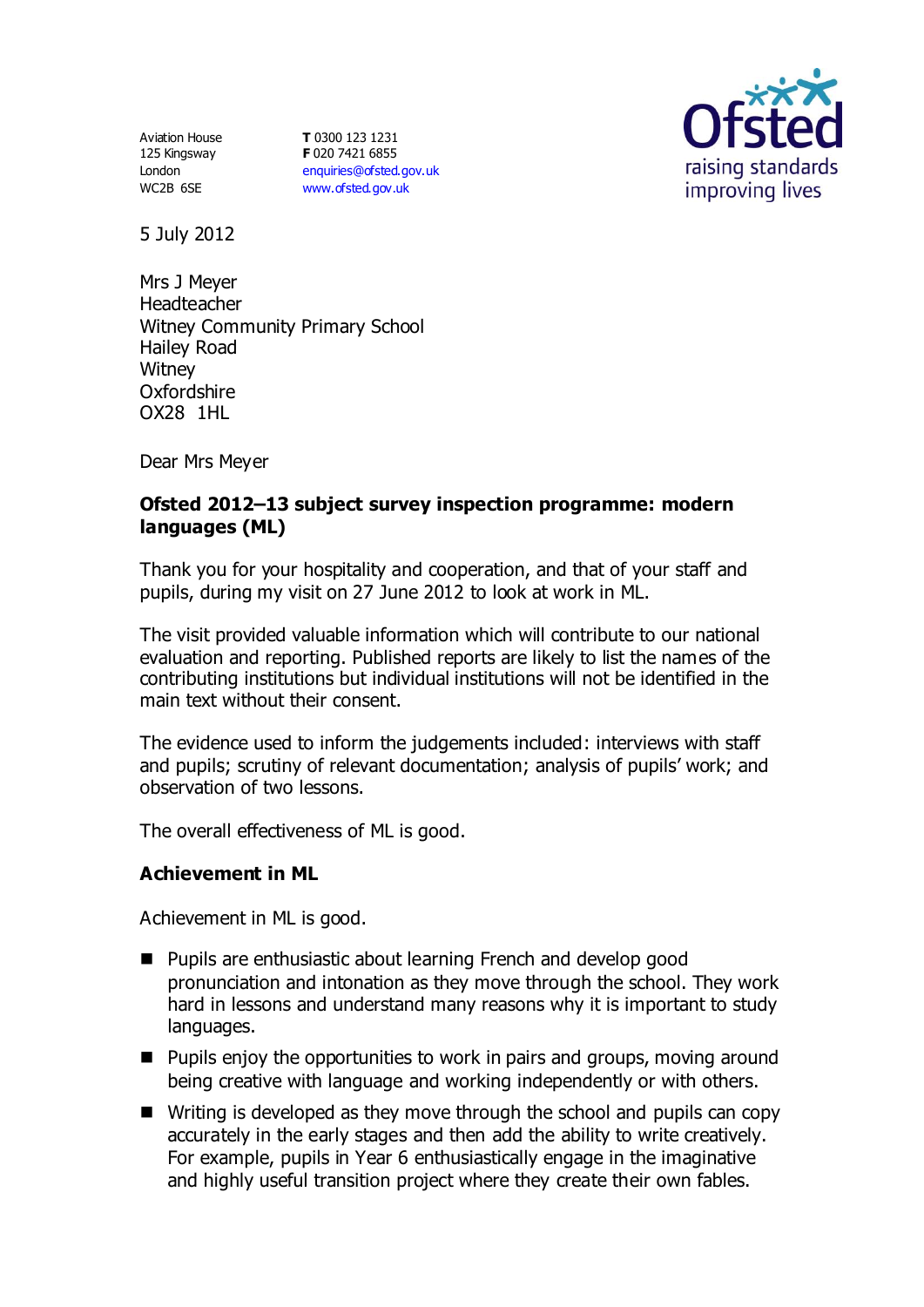Aviation House 125 Kingsway London WC2B 6SE

**T** 0300 123 1231 **F** 020 7421 6855 [enquiries@ofsted.gov.uk](mailto:enquiries@ofsted.gov.uk) [www.ofsted.gov.uk](http://www.ofsted.gov.uk/)



5 July 2012

Mrs J Meyer Headteacher Witney Community Primary School Hailey Road **Witney** Oxfordshire OX28 1HL

Dear Mrs Meyer

## **Ofsted 2012–13 subject survey inspection programme: modern languages (ML)**

Thank you for your hospitality and cooperation, and that of your staff and pupils, during my visit on 27 June 2012 to look at work in ML.

The visit provided valuable information which will contribute to our national evaluation and reporting. Published reports are likely to list the names of the contributing institutions but individual institutions will not be identified in the main text without their consent.

The evidence used to inform the judgements included: interviews with staff and pupils; scrutiny of relevant documentation; analysis of pupils' work; and observation of two lessons.

The overall effectiveness of ML is good.

### **Achievement in ML**

Achievement in ML is good.

- Pupils are enthusiastic about learning French and develop good pronunciation and intonation as they move through the school. They work hard in lessons and understand many reasons why it is important to study languages.
- Pupils enjoy the opportunities to work in pairs and groups, moving around being creative with language and working independently or with others.
- Writing is developed as they move through the school and pupils can copy accurately in the early stages and then add the ability to write creatively. For example, pupils in Year 6 enthusiastically engage in the imaginative and highly useful transition project where they create their own fables.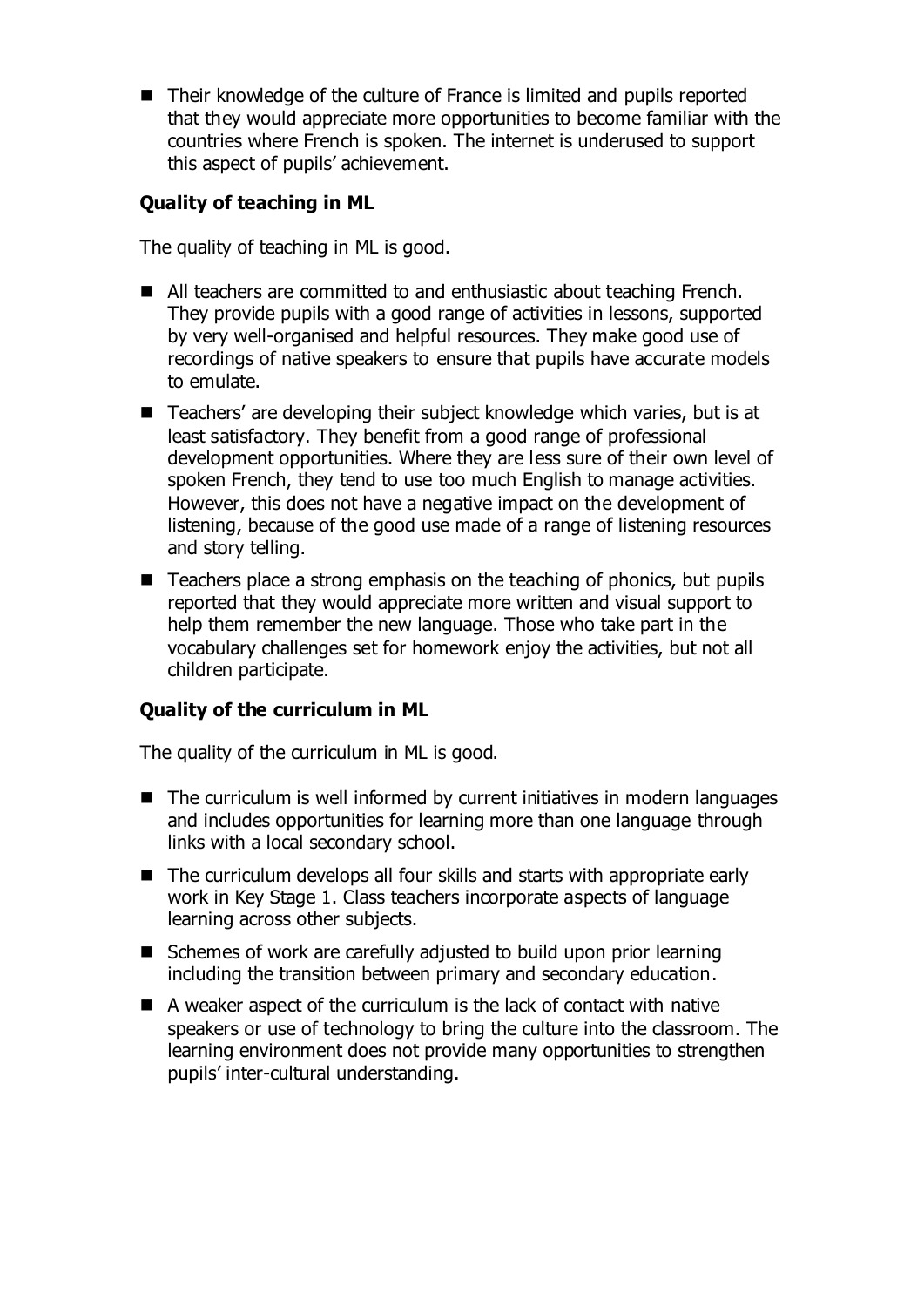■ Their knowledge of the culture of France is limited and pupils reported that they would appreciate more opportunities to become familiar with the countries where French is spoken. The internet is underused to support this aspect of pupils' achievement.

# **Quality of teaching in ML**

The quality of teaching in ML is good.

- All teachers are committed to and enthusiastic about teaching French. They provide pupils with a good range of activities in lessons, supported by very well-organised and helpful resources. They make good use of recordings of native speakers to ensure that pupils have accurate models to emulate.
- Teachers' are developing their subject knowledge which varies, but is at least satisfactory. They benefit from a good range of professional development opportunities. Where they are less sure of their own level of spoken French, they tend to use too much English to manage activities. However, this does not have a negative impact on the development of listening, because of the good use made of a range of listening resources and story telling.
- $\blacksquare$  Teachers place a strong emphasis on the teaching of phonics, but pupils reported that they would appreciate more written and visual support to help them remember the new language. Those who take part in the vocabulary challenges set for homework enjoy the activities, but not all children participate.

# **Quality of the curriculum in ML**

The quality of the curriculum in ML is good.

- The curriculum is well informed by current initiatives in modern languages and includes opportunities for learning more than one language through links with a local secondary school.
- The curriculum develops all four skills and starts with appropriate early work in Key Stage 1. Class teachers incorporate aspects of language learning across other subjects.
- Schemes of work are carefully adjusted to build upon prior learning including the transition between primary and secondary education.
- A weaker aspect of the curriculum is the lack of contact with native speakers or use of technology to bring the culture into the classroom. The learning environment does not provide many opportunities to strengthen pupils' inter-cultural understanding.